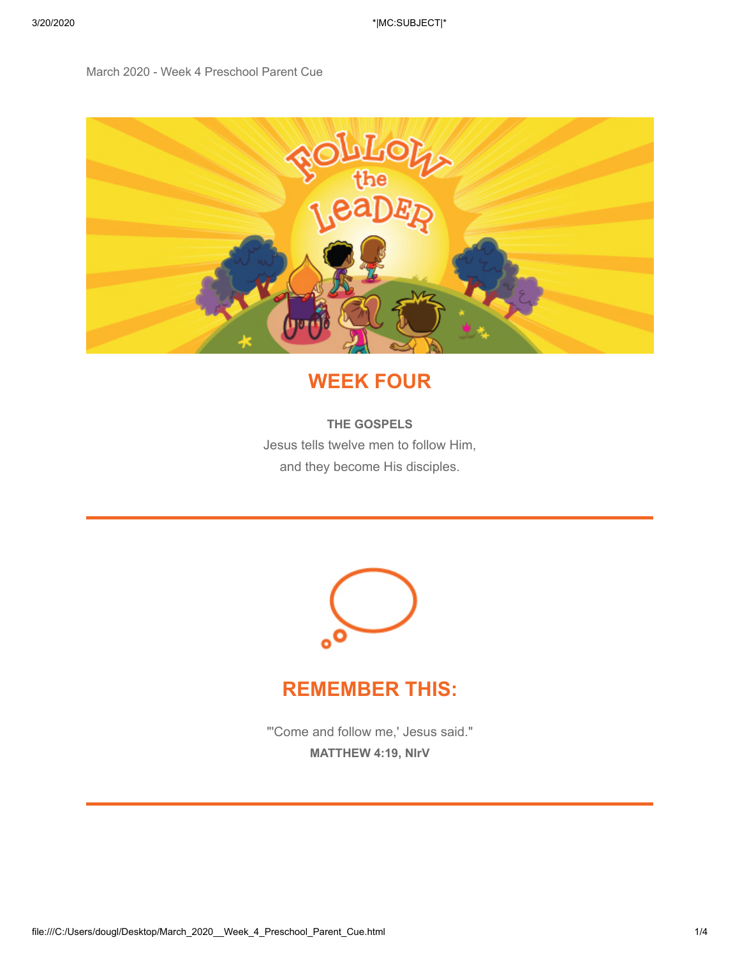#### March 2020 - Week 4 Preschool Parent Cue



### **WEEK FOUR**

#### **THE GOSPELS**

Jesus tells twelve men to follow Him, and they become His disciples.



#### **REMEMBER THIS:**

"'Come and follow me,' Jesus said." **MATTHEW 4:19, NIrV**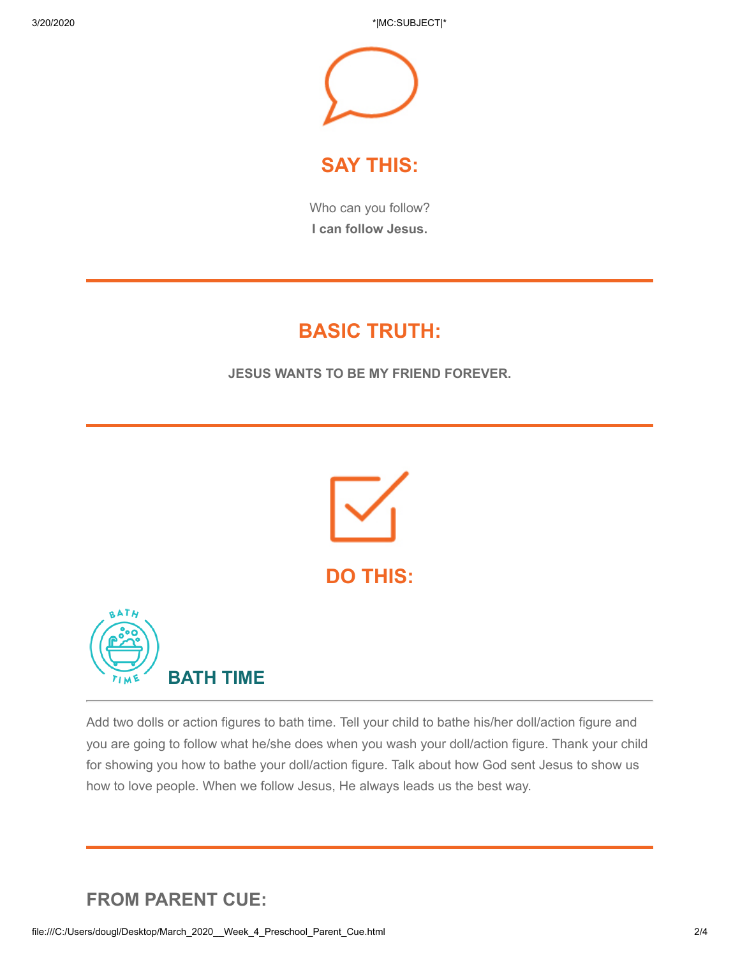3/20/2020 \*|MC:SUBJECT|\*



### **SAY THIS:**

Who can you follow? **I can follow Jesus.**

## **BASIC TRUTH:**

**JESUS WANTS TO BE MY FRIEND FOREVER.**



Add two dolls or action figures to bath time. Tell your child to bathe his/her doll/action figure and you are going to follow what he/she does when you wash your doll/action figure. Thank your child for showing you how to bathe your doll/action figure. Talk about how God sent Jesus to show us how to love people. When we follow Jesus, He always leads us the best way.

### **FROM PARENT CUE:**